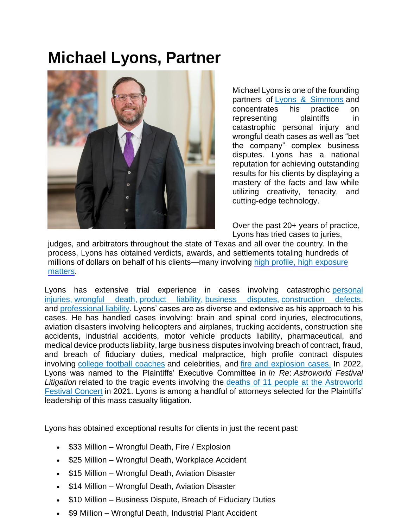# **Michael Lyons, Partner**



Michael Lyons is one of the founding partners of [Lyons & Simmons](https://www.lyons-simmons.com/about/) and concentrates his practice on representing plaintiffs in catastrophic personal injury and wrongful death cases as well as "bet the company" complex business disputes. Lyons has a national reputation for achieving outstanding results for his clients by displaying a mastery of the facts and law while utilizing creativity, tenacity, and cutting-edge technology.

Over the past 20+ years of practice, Lyons has tried cases to juries,

judges, and arbitrators throughout the state of Texas and all over the country. In the process, Lyons has obtained verdicts, awards, and settlements totaling hundreds of millions of dollars on behalf of his clients—many involving high profile, high exposure matters.

Lyons has extensive trial experience in cases involving catastrophic personal [injuries,](https://www.lyons-simmons.com/personal-injury/) [wrongful death,](https://www.lyons-simmons.com/personal-injury/wrongful-death/) [product liability,](https://www.lyons-simmons.com/personal-injury/products-liability/) [business disputes,](https://www.lyons-simmons.com/business-litigation/) [construction defects,](https://www.lyons-simmons.com/construction-litigation/) and [professional liability.](https://www.lyons-simmons.com/professional-liability/) Lyons' cases are as diverse and extensive as his approach to his cases. He has handled cases involving: brain and spinal cord injuries, electrocutions, aviation disasters involving helicopters and airplanes, trucking accidents, construction site accidents, industrial accidents, motor vehicle products liability, pharmaceutical, and medical device products liability, large business disputes involving breach of contract, fraud, and breach of fiduciary duties, medical malpractice, high profile contract disputes involving [college football coaches](https://www.lyons-simmons.com/our-blog/2020/june/lyons-simmons-concludes-former-university-of-kan/) and celebrities, and [fire and explosion cases.](https://www.lyons-simmons.com/our-blog/2018/january/gas-rig-explosion-in-oklahoma-leaves-5-workers-d/) In 2022, Lyons was named to the Plaintiffs' Executive Committee in *In Re*: *Astroworld Festival Litigation* related to the tragic events involving the [deaths of 11 people at the Astroworld](https://urldefense.com/v3/__https:/www.lyons-simmons.com/our-blog/2021/november/lawsuit-filed-on-behalf-of-family-of-man-who-die/__;!!COskAx4!D6nd03Tf-DoYQLkqaB6Rwdxeyl8-Cs4J-NDo3Ak3iogvjXRO1yish4bCT2w6D8qFJpNEOKVpNeL6Nn9DNwVHmeKn$)  [Festival Concert](https://urldefense.com/v3/__https:/www.lyons-simmons.com/our-blog/2021/november/lawsuit-filed-on-behalf-of-family-of-man-who-die/__;!!COskAx4!D6nd03Tf-DoYQLkqaB6Rwdxeyl8-Cs4J-NDo3Ak3iogvjXRO1yish4bCT2w6D8qFJpNEOKVpNeL6Nn9DNwVHmeKn$) in 2021. Lyons is among a handful of attorneys selected for the Plaintiffs' leadership of this mass casualty litigation.

Lyons has obtained exceptional results for clients in just the recent past:

- \$33 Million Wrongful Death, Fire / Explosion
- \$25 Million Wrongful Death, Workplace Accident
- \$15 Million Wrongful Death, Aviation Disaster
- \$14 Million Wrongful Death, Aviation Disaster
- \$10 Million Business Dispute, Breach of Fiduciary Duties
- \$9 Million Wrongful Death, Industrial Plant Accident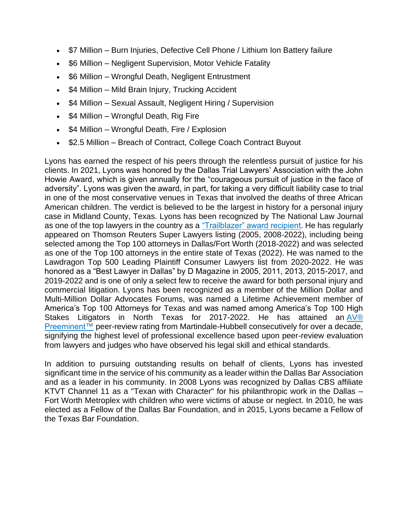- \$7 Million Burn Injuries, Defective Cell Phone / Lithium Ion Battery failure
- \$6 Million Negligent Supervision, Motor Vehicle Fatality
- \$6 Million Wrongful Death, Negligent Entrustment
- \$4 Million Mild Brain Injury, Trucking Accident
- \$4 Million Sexual Assault, Negligent Hiring / Supervision
- \$4 Million Wrongful Death, Rig Fire
- \$4 Million Wrongful Death, Fire / Explosion
- \$2.5 Million Breach of Contract, College Coach Contract Buyout

Lyons has earned the respect of his peers through the relentless pursuit of justice for his clients. In 2021, Lyons was honored by the Dallas Trial Lawyers' Association with the John Howie Award, which is given annually for the "courageous pursuit of justice in the face of adversity". Lyons was given the award, in part, for taking a very difficult liability case to trial in one of the most conservative venues in Texas that involved the deaths of three African American children. The verdict is believed to be the largest in history for a personal injury case in Midland County, Texas. Lyons has been recognized by The National Law Journal as one of the top lawyers in the country as a ["Trailblazer" award recipient.](https://www.lyons-simmons.com/our-blog/2020/may/trial-attorney-michael-lyons-named-a-legal-trail/) He has regularly appeared on Thomson Reuters Super Lawyers listing (2005, 2008-2022), including being selected among the Top 100 attorneys in Dallas/Fort Worth (2018-2022) and was selected as one of the Top 100 attorneys in the entire state of Texas (2022). He was named to the Lawdragon Top 500 Leading Plaintiff Consumer Lawyers list from 2020-2022. He was honored as a "Best Lawyer in Dallas" by D Magazine in 2005, 2011, 2013, 2015-2017, and 2019-2022 and is one of only a select few to receive the award for both personal injury and commercial litigation. Lyons has been recognized as a member of the Million Dollar and Multi-Million Dollar Advocates Forums, was named a Lifetime Achievement member of America's Top 100 Attorneys for Texas and was named among America's Top 100 High Stakes Litigators in North Texas for 2017-2022. He has attained an  $\frac{AV@}{A}$ [Preeminent™](https://www.martindale.com/ratings-and-reviews/) peer-review rating from Martindale-Hubbell consecutively for over a decade, signifying the highest level of professional excellence based upon peer-review evaluation from lawyers and judges who have observed his legal skill and ethical standards.

In addition to pursuing outstanding results on behalf of clients, Lyons has invested significant time in the service of his community as a leader within the Dallas Bar Association and as a leader in his community. In 2008 Lyons was recognized by Dallas CBS affiliate KTVT Channel 11 as a "Texan with Character" for his philanthropic work in the Dallas – Fort Worth Metroplex with children who were victims of abuse or neglect. In 2010, he was elected as a Fellow of the Dallas Bar Foundation, and in 2015, Lyons became a Fellow of the Texas Bar Foundation.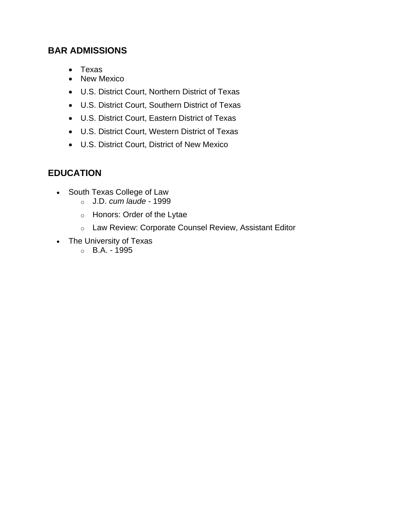#### **BAR ADMISSIONS**

- Texas
- New Mexico
- U.S. District Court, Northern District of Texas
- U.S. District Court, Southern District of Texas
- U.S. District Court, Eastern District of Texas
- U.S. District Court, Western District of Texas
- U.S. District Court, District of New Mexico

# **EDUCATION**

- South Texas College of Law
	- o J.D. *cum laude* 1999
	- o Honors: Order of the Lytae
	- o Law Review: Corporate Counsel Review, Assistant Editor
- The University of Texas
	- $O$  B.A. 1995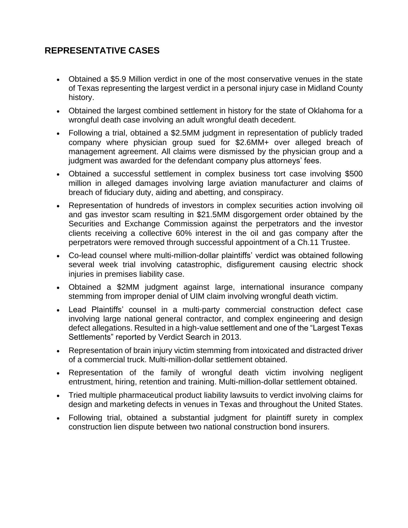# **REPRESENTATIVE CASES**

- Obtained a \$5.9 Million verdict in one of the most conservative venues in the state of Texas representing the largest verdict in a personal injury case in Midland County history.
- Obtained the largest combined settlement in history for the state of Oklahoma for a wrongful death case involving an adult wrongful death decedent.
- Following a trial, obtained a \$2.5MM judgment in representation of publicly traded company where physician group sued for \$2.6MM+ over alleged breach of management agreement. All claims were dismissed by the physician group and a judgment was awarded for the defendant company plus attorneys' fees.
- Obtained a successful settlement in complex business tort case involving \$500 million in alleged damages involving large aviation manufacturer and claims of breach of fiduciary duty, aiding and abetting, and conspiracy.
- Representation of hundreds of investors in complex securities action involving oil and gas investor scam resulting in \$21.5MM disgorgement order obtained by the Securities and Exchange Commission against the perpetrators and the investor clients receiving a collective 60% interest in the oil and gas company after the perpetrators were removed through successful appointment of a Ch.11 Trustee.
- Co-lead counsel where multi-million-dollar plaintiffs' verdict was obtained following several week trial involving catastrophic, disfigurement causing electric shock injuries in premises liability case.
- Obtained a \$2MM judgment against large, international insurance company stemming from improper denial of UIM claim involving wrongful death victim.
- Lead Plaintiffs' counsel in a multi-party commercial construction defect case involving large national general contractor, and complex engineering and design defect allegations. Resulted in a high-value settlement and one of the "Largest Texas Settlements" reported by Verdict Search in 2013.
- Representation of brain injury victim stemming from intoxicated and distracted driver of a commercial truck. Multi-million-dollar settlement obtained.
- Representation of the family of wrongful death victim involving negligent entrustment, hiring, retention and training. Multi-million-dollar settlement obtained.
- Tried multiple pharmaceutical product liability lawsuits to verdict involving claims for design and marketing defects in venues in Texas and throughout the United States.
- Following trial, obtained a substantial judgment for plaintiff surety in complex construction lien dispute between two national construction bond insurers.